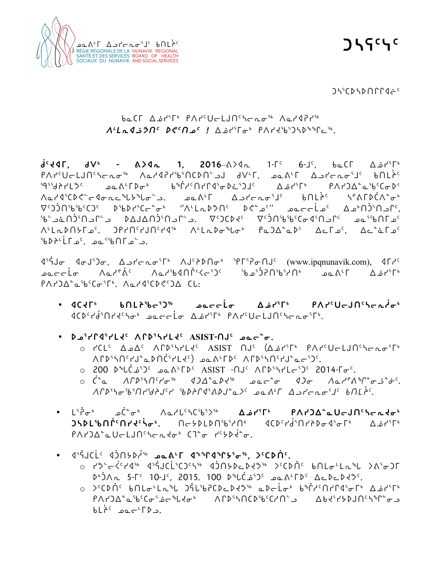

**ᑐᓴᕋᑦᓭᑦ**

#### ᑐᓴᕐᑕᐅᓴᐅᑎᒋᒋᐊᓖᑦ

# ᑲᓇᑕᒥ ᐃᓅᓯᕐᒥᒃ ᑭᐱᓯᑦᑌᓕᒪᒍᑎᑦᓴᓕᕆᓂᖅ ᐱᓇᓱᐊᕈᓯᖅ *ᐱᒻᒪᕆᐊᓘᕗᑎᑦ ᐅᕙᑦᑎᓄᑦ !* ᐃᓅᓯᕐᒥᓂᒃ ᑭᐱᓯᔪᖃᕐᑐᓴᐅᖕᖏᓚᖅ.

**ᑰᑦᔪᐊᒥ, ᑯᐯᒃ - ᕕᐳᐊᕆ 1, 2016**–ᕕᐳᐊᕆ 1-ᒥᑦ 6-ᒧᑦ, ᑲᓇᑕᒥ ᐃᓅᓯᕐᒥᒃ ᑭᐱᓯᑦᑌᓕᒪᒍᑎᑦᓴᓕᕆᓂᖅ ᐱᓇᓱᐊᕈᓯᖃᕐᑎᑕᐅᑎᓪᓗᒍ ᑯᐯᒻᒥ, ᓄᓇᕕᒻᒥ ᐃᓗᓯᓕᕆᓂᕐᒧᑦ ᑲᑎᒪᔩᑦ ᙯᕐᖁᔨᓯᒪᕗᑦ ᓄᓇᕕᒻᒥᐅᓂᒃ ᑲᖐᓱᑦᑎᓯᒋᐊᕐᓂᐅᓛᕐᑐᒧᑦ ᐃᓅᓯᕐᒥᒃ ᑭᐱᓯᑐᐃᓐᓇᖃᑦᑕᓂᐅᑉ ᐱᓇᓱᐊᕐᑕᐅᕙᓪᓕᐊᓂᕆᓚᖓᔭᖓᓂᓪᓗ. ᓄᓇᕕᒻᒥ ᐃᓗᓯᓕᕆᓂᕐᒧᑦ ᑲᑎᒪᔩᑦ ᓴᕝᕕᒥᐅᑖᐱᓐᓂᒃ ⊽ີ່ດີ່່າເຕັດໃື່ລະບັດທະນາທີ່ເຕັງລົງົດມາມາດ ເມື່ອງທະນາທີ່ເປັນໃຫ້ເກັບຊີ້ ທີ່ເກັບຊີ້ ເກັບ ີ່ພັຟີລ໌ ໄດ້ໄຟຟລີຕັລີຕັ້ນ. ⊽ີລາຊະລັດໃນໃຫຍ່ໃຫຍ່ໃຫຍ່ໃນ ᐱᒻᒪᕆᐅᑎᔭᒥᓄᑦ. ᑐᑭᓯᑎᑦᓯᒍᑎᑦᓯᐊᖅ ᐱᒻᒪᕆᐅᓂᖓᓂᒃ ᑭᓇᑐᐃᓐᓇᐅᑉ ᐃᓚᒥᓄᑦ, ᐃᓚᓐᓈᒥᓄᑦ ∫فة الأط∂ا∱الم∂يض.

 $\mathbb{I}^5$ j (www.ipqnunavik.com),  $\mathbb{I}^6$ ،  $\mathbb{I}^6$  (www.ipqnunavik.com),  $\mathbb{I}^6$ ِ ءِمِدِ اللهِ نَفْسُ نَ ٱلْمَذْرِكِينَ ۖ وَالْمَالِمُ وَالْمَالِمِينَ وَالْمَالِمِينَ وَالْمَالِمَا PAPJA°a'b<sup>c</sup>Co'<sup>r</sup>', Aard'CDC'JA CL:

- **ᐊᑕᔪᒥᒃ ᑲᑎᒪᔨᖃᓕᕐᑐᖅ ᓄᓇᓕᓕᒫᓂ ᐃᓅᓯᕐᒥᒃ ᑭᐱᓯᑦᑌᓕᒍᑎᑦᓴᓕᕆᓲᓂᒃ** ᐊᑕᐅᑦᓯᑰᕐᑎᓯᔪᑦᓴᓂᒃ ᓄᓇᓕᓕᒫᓂ ᐃᓅᓯᕐᒥᒃ ᑭᐱᓯᑦᑌᓕᒪᒍᑎᑦᓴᓕᕆᓂᕐᒥᒃ.
- **ᐅᓄᕐᓯᒋᐊᕐᓯᒪᔪᑦ ᐱᒋᐅᕐᓴᓯᒪᔪᑦ ASIST-ᑎᒍᑦ ᓄᓇᓕᓐᓂ.**
	- o tCL<sup>c</sup> ∆م∆٬ ∧۲۵٬۱۲۲۲۲ ASIST ∩J٬ (∆هٔ ۲٬۴۲۰ P۸۲٬۰ ᐱᒋᐅᕐᓴᑎᑦᓯᒍᓐᓇᐅᑎᑖᕐᓯᒪᔪᑦ) ᓄᓇᕕᒻᒥᐅᑦ ᐱᒋᐅᕐᓴᑎᑦᓯᒍᓐᓇᓕᕐᑐᑦ.
	- o 200 ᐅᖓᑖᓅᕐᑐᑦ ᓄᓇᕕᒻᒥᐅᑦ ASIST -ᑎᒍᑦ ᐱᒋᐅᕐᓴᓯᒪᓕᕐᑐᑦ 2014-ᒥᓂᑦ.
	- o *ᑖᓐᓇ ᐱᒋᐅᕐᓴᑎᑦᓯᓂᖅ ᐊᑐᐃᓐᓇᐅᔪᖅ ᓄᓇᓕᓐᓂ ᐊᑐᓂ ᐱᓇᓱᕝᕕᖏᓐᓂᓘᓐᓃᑦ. ᐱᒋᐅᕐᓴᓂᖃᕐᑎᓯᖁᔨᒍᑦᓯ ᖃᐅᔨᒋᐊᕐᕕᐅᒍᓐᓇᐳᑦ ᓄᓇᕕᒻᒥ ᐃᓗᓯᓕᕆᓂᕐᒧᑦ ᑲᑎᒪᔩᑦ.*
- كڤ<del>ر</del>ٌ ∞ۈر"ھەت ∧ھككك2ىن ھەكتا<sup>م</sup>ىت ھەكتابىت ھەكتابىت ئەھەم ئەھەم ئەھەم ئەھەم ئەھەم ئەھەم ئەھەم ئەھەم ئەھەم ئە **ᑐᓴᐅᒪᖃᑎᒌᑦᑎᓯᔪᑦᓵᓂᒃ.** ᑎᓕᔭᐅᒪᐅᑎᖃᕐᓱᑎᒃ ᐊᑕᐅᑦᓯᑰᕐᑎᓯᔨᐅᓂᐊᕐᓂᒥᒃ ᐃᓅᓯᕐᒥᒃ  $PA$  <sup>1</sup>)∆°⊾∪⊂LJN<sup>c</sup> גלס <sup>⊿</sup> כן *ٌ* ל<sup>נ</sup>∢ל *ٌ* כ
- ᐊᕐᕌᒍᑕᒫᑦ ᐊᑑᑎᔭᐅᓲᖅ **ᓄᓇᕕᒻᒥ ᐊᖕᖏᐊᖏᔭᕐᓂᖅ, ᐳᑦᑕᐅᑏᑦ.**
	- o ᓯᕗᓪᓕᐹᑦᓯᐊᖅ ᐊᕐᕌᒍᑕᒫᕐᑕᑐᑦᓴᖅ ᐊᑑᑎᔭᐅᓚᐅᔪᕗᖅ ᐳᑦᑕᐅᑏᑦ ᑲᑎᒪᓂᒻᒪᕆᖓ ᐳᕕᕐᓂᑐᒥ ᐅᒃᑑᐱᕆ 5-ᒥᑦ 10-ᒧᑦ, 2015. 100 ᐅᖓᑖᓅᕐᑐᑦ ᓄᓇᕕᒻᒥᐅᑦ ᐃᓚᐅᓚᐅᔪᕗᑦ.
	- o ᐳᑦᑕᐅᑏᑦ ᑲᑎᒪᓂᒻᒪᕆᖓ ᑐᕌᒐᖃᕈᑕᐅᓚᐅᔪᕗᖅ ᓇᐅᓕᒫᓂᒃ ᑲᖐᓱᑦᑎᓯᒋᐊᕐᓂᒥᒃ ᐃᓅᓯᕐᒥᒃ ᑭᐱᓯᑐᐃᓐᓇᖃᑦᑕᓂᕐᓅᓕᖓᔪᓂᒃ ᐱᒋᐅᕐᓴᑎᑕᐅᖃᑦᑕᓱᑎᓪᓗ ᐃᑲᔪᕐᓯᔭᐅᒍᑎᑦᓴᖏᓐᓂᓗ  $bL^{\lambda}$ <sup>c</sup>  $a_{\alpha}c^{\mu}$  $c_{\beta}$ .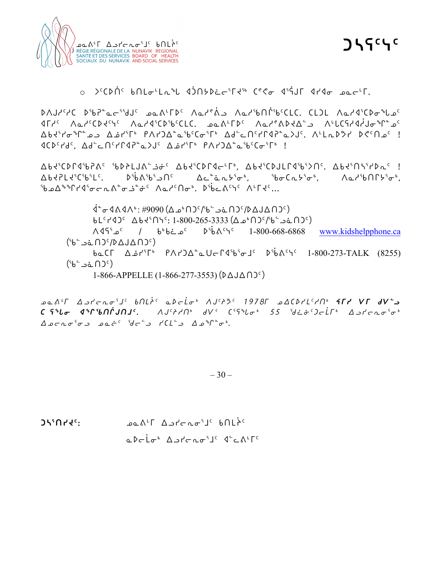

**ᑐᓴᕋᑦᓭᑦ**

### o ᐳᑦᑕᐅᑏᑦ ᑲᑎᒪᓂᒻᒪᕆᖓ ᐊᑑᑎᔭᐅᓛᓕᕐᒥᔪᖅ ᑕᕝᕙᓂ ᐊᕐᕌᒍᒥ ᐊᓯᐊᓂ ᓄᓇᓕᒻᒥ.

ᐅᐱᒍᓱᑦᓱᑕ ᐅᖃᕈᓐᓇᓕᕐᖁᒍᑦ ᓄᓇᕕᒻᒥᐅᑦ ᐱᓇᓱᕝᕖᓗ ᐱᓇᓱᖃᑎᒌᖃᑦᑕᒪᑕ. ᑕᒪᑐᒪ ᐱᓇᓱᐊᕐᑕᐅᓂᖓᓄᑦ ᐊᒥᓱᑦ ᐱᓇᓱᑦᑕᐅᔪᑦᓭᑦ ᐱᓇᓱᐊᕐᑕᐅᖃᑦᑕᒪᑕ. ᓄᓇᕕᒻᒥᐅᑦ ᐱᓇᓱᕝᕕᐅᔪᐃᓪᓗ ᐱᒡᒐᑕᕋᓱᐊᓲᒍᓂᖏᓐᓄᑦ ᐃᑲᔪᕐᓯᓂᖏᓐᓄᓗ ᐃᓅᓯᕐᒥᒃ ᑭᐱᓯᑐᐃᓐᓇᖃᑦᑕᓂᕐᒥᒃ ᐃᑯᓪᓚᑎᑦᓯᒋᐊᕈᓐᓇᐳᒍᑦ. ᐱᒻᒪᕆᐅᕗᓯ ᐅᕙᑦᑎᓄᑦ ! ᐊᑕᐅᑦᓯᑯᑦ, ᐃᑯᓪᓚᑎᑦᓯᒋᐊᕈᓐᓇᐳᒍᑦ ᐃᓅᓯᕐᒥᒃ ᑭᐱᓯᑐᐃᓐᓇᖃᑦᑕᓂᕐᒥᒃ !

ᐃᑲᔪᕐᑕᐅᒋᐊᖃᕈᕕᑦ ᖃᐅᔨᒪᒍᕕᓪᓘᓃᑦ ᐃᑲᔪᕐᑕᐅᒋᐊᓕᒻᒥᒃ, ᐃᑲᔪᕐᑕᐅᒍᒪᒋᐊᖃᕐᐳᑎᑦ. ᐃᑲᔪᕐᑎᓴᕐᓯᐅᕆᑦ ! ᐃᑲᔪᕈᒪᔪᕐᑕᖃᕐᒪᑦ. ᐅᖄᕕᖃᕐᓗᑎᑦ ᐃᓚᓐᓈᕆᔭᕐᓂᒃ, ᖃᓂᑕᕆᔭᕐᓂᒃ, ᐱᓇᓱᖃᑎᒋᔭᕐᓂᒃ, ᖃᓄᐃᖕᖏᓯᐊᕐᓂᓕᕆᕕᓐᓂᓘᓐᓃᑦ ᐱᓇᓱᑦᑎᓂᒃ. ᐅᖄᓚᕕᑦᓭᑦ ᐱᒻᒥᔪᑦ…

ᐋᓐᓂᐊᕕᐊᐱᒃ: #9090 (ᐃᓄᒃᑎᑐᑦ/ᖃᓪᓗᓈᑎᑐᑦ/ᐅᐃᒍᐃᑎᑐᑦ) ᑲᒪᑦᓯᐊᑐᑦ ᐃᑲᔪᕐᑎᓭᑦ: 1-800-265-3333 (ᐃᓄᒃᑎᑐᑦ/ᖃᓪᓗᓈᑎᑐᑦ) ᐱᐊᕋᕐᓄᑦ / ᑲᒃᑲᓛᓄᑦ ᐅᖄᕕᑦᓭᑦ 1-800-668-6868 www.kidshelpphone.ca  $(56 - 36)$ ᑲᓇᑕᒥ ᐃᓅᓯᕐᒥᒃ ᑭᐱᓯᑐᐃᓐᓇᑌᓕᒋᐊᖃᕐᓂᒧᑦ ᐅᖄᕕᑦᓭᑦ 1-800-273-TALK (8255)  $(56 - 26)$  $1-866$ -APPELLE  $(1-866-277-3553)$   $(2\Delta\Delta\Omega)^c$ 

*kN[7u wlyoEi3j5 vtmº5 Nsoµi4 WA5pK5 !(&\*u kwbsym5ht4 èuy Ñu fÑ9l bCzi xqctŒAtj5. WA5pht4 fÑ2 b3Czi4 %% d˜î5goµu4 wlyoEi3i4 wkoEi3il kNø5 do9l ybm9l wkq8i4.*

 $-30-$ 

**ᑐᓴᕐᑎᓯᔪᑦ:** ᓄᓇᕕᒻᒥ ᐃᓗᓯᓕᕆᓂᕐᒧᑦ ᑲᑎᒪᔩᑦ

ᓇᐅᓕᒫᓂᒃ ᐃᓗᓯᓕᕆᓂᕐᒧᑦ ᐊᓪᓚᕕᒻᒥᑦ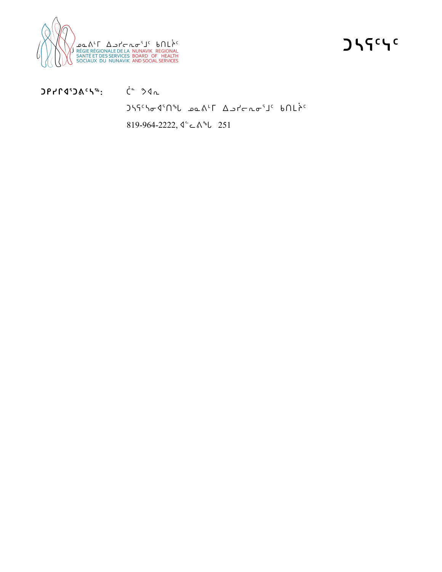

**ᑐᓴᕋᑦᓭᑦ**

**ᑐᑭᓯᒋᐊᕐᑐᕕᑦᓴᖅ:** ᑖᓐ ᕗᐊᕆ

ᑐᓴᕋᑦᓴᓂᐊᕐᑎᖓ ᓄᓇᕕᒻᒥ ᐃᓗᓯᓕᕆᓂᕐᒧᑦ ᑲᑎᒪᔩᑦ

819-964-2222, ᐊᓪᓚᕕᖓ 251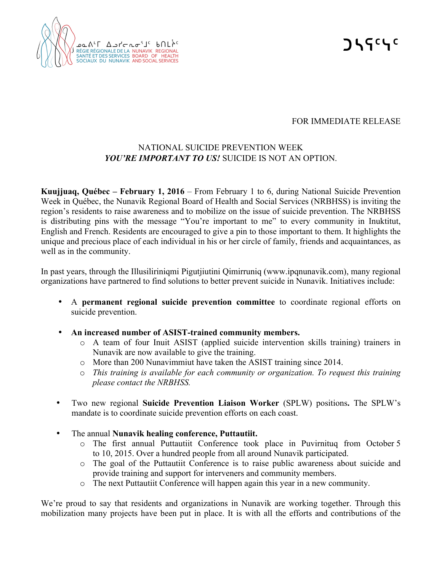

**ᑐᓴᕋᑦᓭᑦ**

#### FOR IMMEDIATE RELEASE

## NATIONAL SUICIDE PREVENTION WEEK *YOU'RE IMPORTANT TO US!* SUICIDE IS NOT AN OPTION.

**Kuujjuaq, Québec – February 1, 2016** – From February 1 to 6, during National Suicide Prevention Week in Québec, the Nunavik Regional Board of Health and Social Services (NRBHSS) is inviting the region's residents to raise awareness and to mobilize on the issue of suicide prevention. The NRBHSS is distributing pins with the message "You're important to me" to every community in Inuktitut, English and French. Residents are encouraged to give a pin to those important to them. It highlights the unique and precious place of each individual in his or her circle of family, friends and acquaintances, as well as in the community.

In past years, through the Illusiliriniqmi Pigutjiutini Qimirruniq (www.ipqnunavik.com), many regional organizations have partnered to find solutions to better prevent suicide in Nunavik. Initiatives include:

- A **permanent regional suicide prevention committee** to coordinate regional efforts on suicide prevention.
- **An increased number of ASIST-trained community members.**
	- o A team of four Inuit ASIST (applied suicide intervention skills training) trainers in Nunavik are now available to give the training.
	- o More than 200 Nunavimmiut have taken the ASIST training since 2014.
	- o *This training is available for each community or organization. To request this training please contact the NRBHSS.*
- Two new regional **Suicide Prevention Liaison Worker** (SPLW) positions**.** The SPLW's mandate is to coordinate suicide prevention efforts on each coast.
- The annual **Nunavik healing conference, Puttautiit.**
	- o The first annual Puttautiit Conference took place in Puvirnituq from October 5 to 10, 2015. Over a hundred people from all around Nunavik participated.
	- o The goal of the Puttautiit Conference is to raise public awareness about suicide and provide training and support for interveners and community members.
	- o The next Puttautiit Conference will happen again this year in a new community.

We're proud to say that residents and organizations in Nunavik are working together. Through this mobilization many projects have been put in place. It is with all the efforts and contributions of the